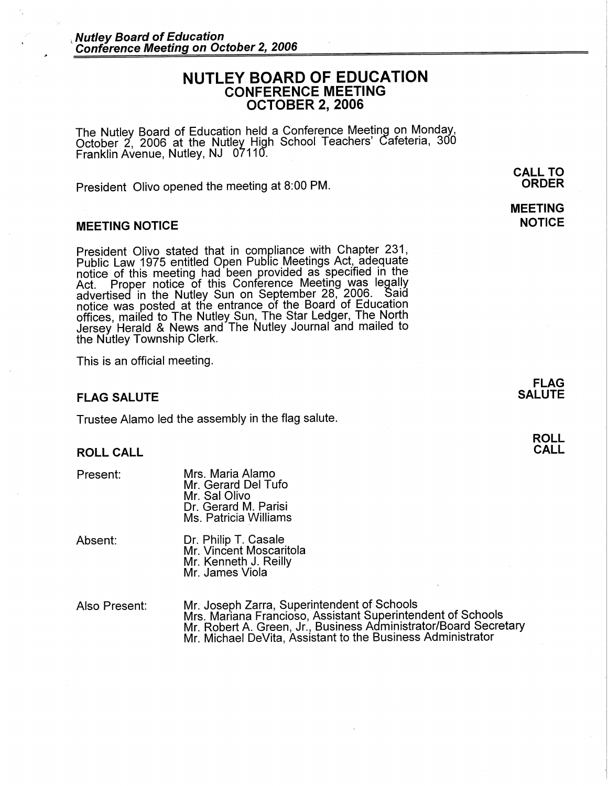# **NUTLEY BOARD OF EDUCATION CONFERENCE MEETING OCTOBER 2, 2006**

The Nutley Board of Education held a Conference Meeting on Monday,<br>October 2, 2006 at the Nutley High School Teachers' Cafeteria, 300 Franklin Avenue, Nutley, NJ 07110.

President Olivo opened the meeting at 8:00 PM.

#### **MEETING NOTICE**

President Olivo stated that in compliance with Chapter 231, Public Law 1975 entitled Open Public Meetings Act, adequate notice of this meeting had been provided as specified in the Act. Proper notice of this Conference Meeting was legally advertised in the Nutley Sun on September 28, 2006. Said notice was posted at the entrance of the Board of Education offices, mailed to The Nutley Sun, The Star Ledger, The North Jersey Herald & News and The Nutley Journal and mailed to the Nutley Township Clerk.

This is an official meeting.

#### **FLAG SALUTE**

Trustee Alamo led the assembly in the flag salute.

#### **ROLL CALL**

Mrs. Maria Alamo Mr. Gerard Del Tufo Mr. Sal Olivo Dr. Gerard M. Parisi Ms. Patricia Williams

Absent: Dr. Philip T. Casale Mr. Vincent Moscaritola Mr. Kenneth J. Reilly Mr. James Viola

Also Present: Mr. Joseph Zarra, Superintendent of Schools Mrs. Mariana Francioso, Assistant Superintendent of Schools Mr. Robert A. Green, Jr., Business Administrator/Board Secretary Mr. Michael DeVita, Assistant to the Business Administrator

**CALL TO ORDER** 

## **MEETING NOTICE**

**FLAG SALUTE** 

> **ROLL CALL**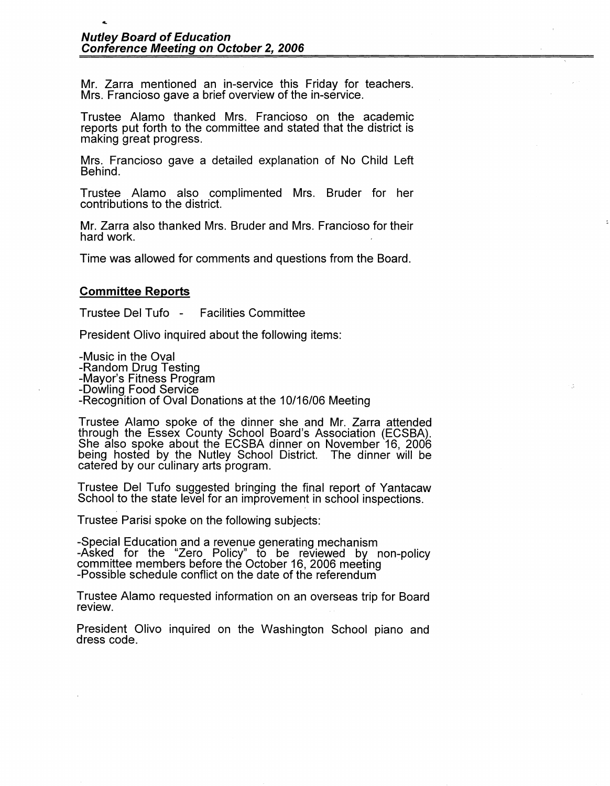Mr. Zarra mentioned an in-service this Friday for teachers. Mrs. Francioso gave a brief overview of the in-service.

Trustee Alamo thanked Mrs. Francioso on the academic reports put forth to the committee and stated that the district is making great progress.

Mrs. Francioso gave a detailed explanation of No Child Left Behind.

Trustee Alamo also complimented Mrs. Bruder for her contributions to the district.

Mr. Zarra also thanked Mrs. Bruder and Mrs. Francioso for their hard work.

Time was allowed for comments and questions from the Board.

### **Committee Reports**

....

Trustee Del Tufo - Facilities Committee

President Olivo inquired about the following items:

-Music in the Oval

-Mayor's Fitness Program<br>-Dowling Food Service

-Recognition of Oval Donations at the 10/16/06 Meeting

Trustee Alamo spoke of the dinner she and Mr. Zarra attended through the Essex County School Board's Association (ECSBA).<br>She also spoke about the ECSBA dinner on November 16, 2006<br>being hosted by the Nutley School District. The dinner will be being hosted by the Nutley School District. The dinner will be catered by our culinary arts program.

Trustee Del Tufo suggested bringing the final report of Yantacaw School to the state level for an improvement in school inspections.

Trustee Parisi spoke on the following subjects:

-Special Education and a revenue generating mechanism -Asked for the "Zero Policy" to be reviewed by non-policy committee members before the October 16, 2006 meeting<br>-Possible schedule conflict on the date of the referendum

Trustee Alamo requested information on an overseas trip for Board review.

President Olivo inquired on the Washington School piano and dress code.